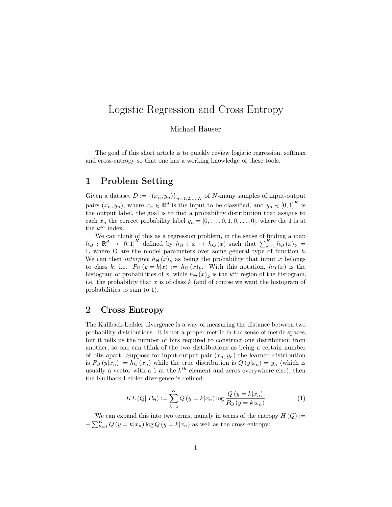## Logistic Regression and Cross Entropy

Michael Hauser

The goal of this short article is to quickly review logistic regression, softmax and cross-entropy so that one has a working knowledge of these tools.

## 1 Problem Setting

Given a dataset  $D := \{(x_n, y_n)\}_{n=1,2,...,N}$  of N-many samples of input-output pairs  $(x_n, y_n)$ , where  $x_n \in \mathbb{R}^d$  is the input to be classified, and  $y_n \in [0,1]^K$  is the output label, the goal is to find a probability distribution that assigns to each  $x_n$  the correct probability label  $y_n = [0, \ldots, 0, 1, 0, \ldots, 0]$ , where the 1 is at the  $k^{th}$  index.

We can think of this as a regression problem, in the sense of finding a map  $h_{\Theta} : \mathbb{R}^d \to [0,1]^K$  defined by  $h_{\Theta} : x \mapsto h_{\Theta}(x)$  such that  $\sum_{k=1}^K h_{\Theta}(x)_k =$ 1, where  $\Theta$  are the model parameters over some general type of function h. We can then *interpret*  $h_{\Theta}(x)_{k}$  as being the probability that input x belongs to class k, i.e.  $P_{\Theta}(y = k|x) := h_{\Theta}(x)_k$ . With this notation,  $h_{\Theta}(x)$  is the histogram of probabilities of x, while  $h_{\Theta}(x)_k$  is the  $k^{th}$  region of the histogram, i.e. the probability that x is of class  $k$  (and of course we want the histogram of probabilities to sum to 1).

## 2 Cross Entropy

The Kullback-Leibler divergence is a way of measuring the distance between two probability distributions. It is not a proper metric in the sense of metric spaces, but it tells us the number of bits required to construct one distribution from another, so one can think of the two distributions as being a certain number of bits apart. Suppose for input-output pair  $(x_n, y_n)$  the learned distribution is  $P_{\Theta}(y|x_n) := h_{\Theta}(x_n)$  while the true distribution is  $Q(y|x_n) = y_n$  (which is usually a vector with a 1 at the  $k^{th}$  element and zeros everywhere else), then the Kullback-Leibler divergence is defined:

$$
KL(Q||P_{\Theta}) := \sum_{k=1}^{K} Q(y = k|x_n) \log \frac{Q(y = k|x_n)}{P_{\Theta}(y = k|x_n)}
$$
(1)

We can expand this into two terms, namely in terms of the entropy  $H(Q) :=$  $-\sum_{k=1}^{K} Q(y=k|x_n) \log Q(y=k|x_n)$  as well as the cross entropy: